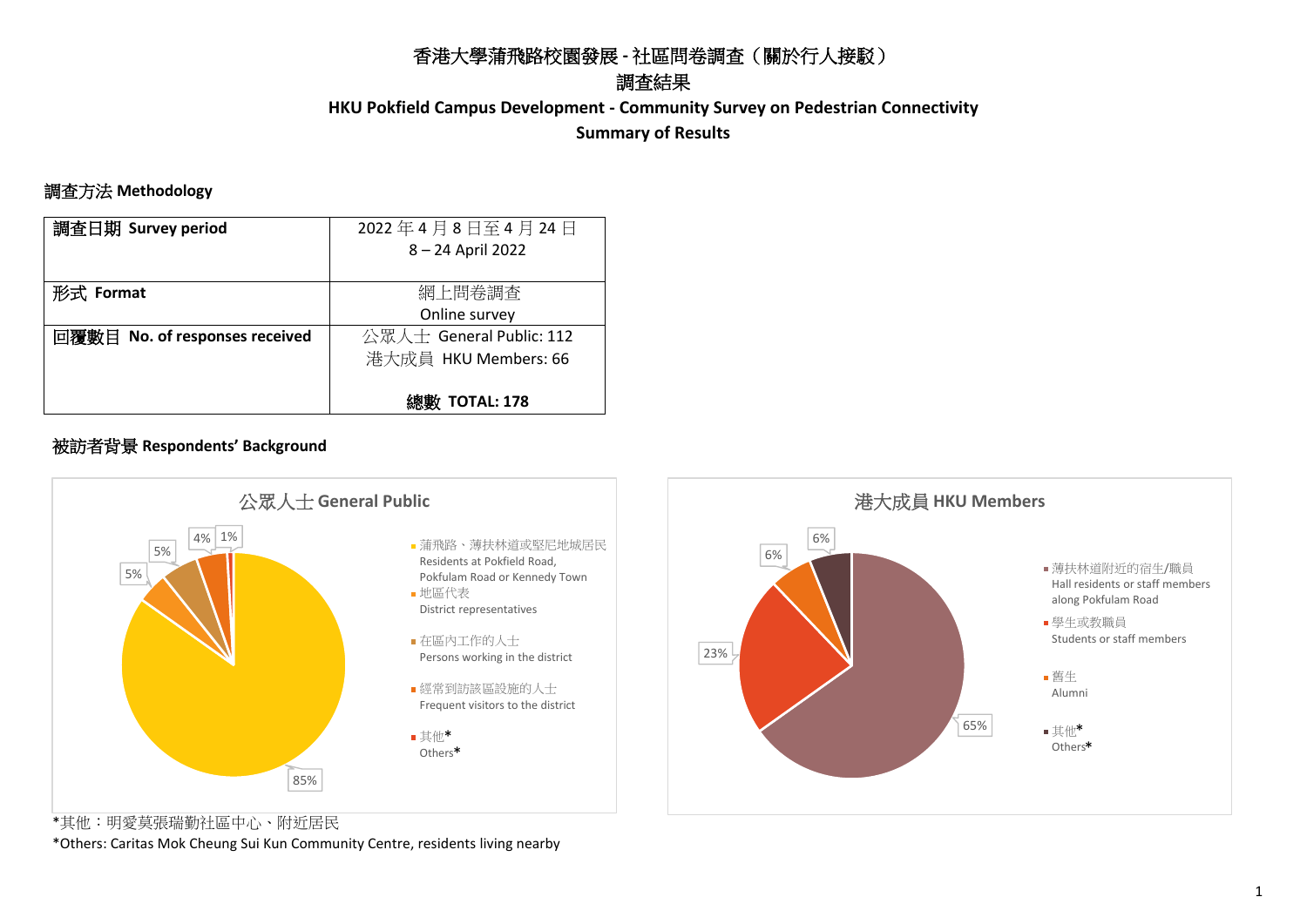# 香港大學蒲飛路校園發展 **-** 社區問卷調查(關於行人接駁)

# 調查結果

**HKU Pokfield Campus Development - Community Survey on Pedestrian Connectivity Summary of Results**

#### 調查方法 **Methodology**

| 調査日期 Survey period             | 2022年4月8日至4月24日          |
|--------------------------------|--------------------------|
|                                | 8 - 24 April 2022        |
|                                |                          |
| 形式 Format                      | 網上問卷調査                   |
|                                | Online survey            |
| 回覆數目 No. of responses received | 公眾人士 General Public: 112 |
|                                | 港大成員 HKU Members: 66     |
|                                |                          |
|                                | <b>TOTAL: 178</b>        |

#### 被訪者背景 **Respondents' Background**



\*其他︰明愛莫張瑞勤社區中心、附近居民

\*Others: Caritas Mok Cheung Sui Kun Community Centre, residents living nearby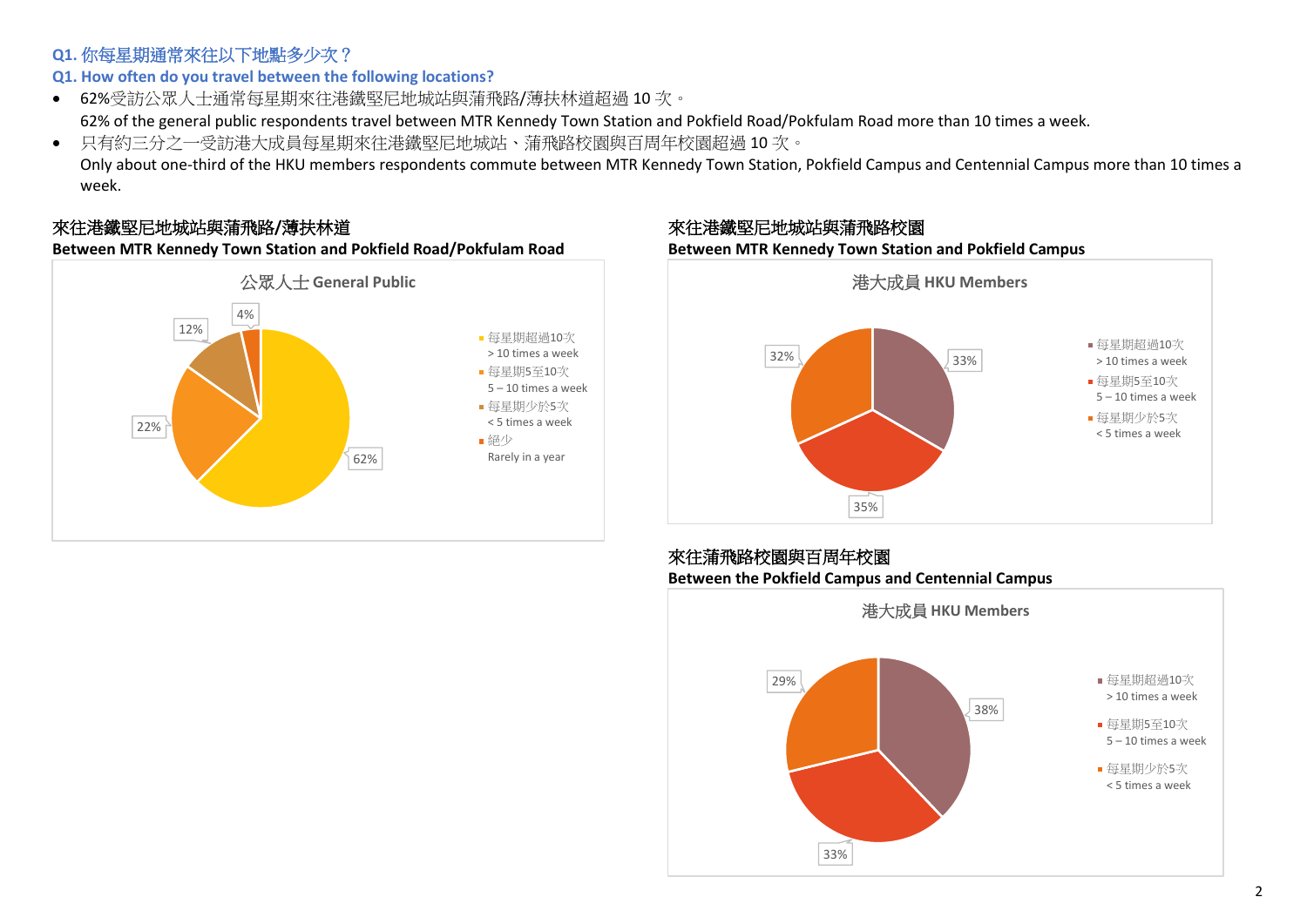### **Q1.** 你每星期通常來往以下地點多少次?

# **Q1. How often do you travel between the following locations?**

- 62%受訪公眾人士通常每星期來往港鐵堅尼地城站與蒲飛路/薄扶林道超過 10 次。 62% of the general public respondents travel between MTR Kennedy Town Station and Pokfield Road/Pokfulam Road more than 10 times a week.
- 只有約三分之一受訪港大成員每星期來往港鐵堅尼地城站、蒲飛路校園與百周年校園超過 10 次。

Only about one-third of the HKU members respondents commute between MTR Kennedy Town Station, Pokfield Campus and Centennial Campus more than 10 times a week.

# 來往港鐵堅尼地城站與蒲飛路**/**薄扶林道

**Between MTR Kennedy Town Station and Pokfield Road/Pokfulam Road**



來往港鐵堅尼地城站與蒲飛路校園 **Between MTR Kennedy Town Station and Pokfield Campus**



#### 來往蒲飛路校園與百周年校園 **Between the Pokfield Campus and Centennial Campus**

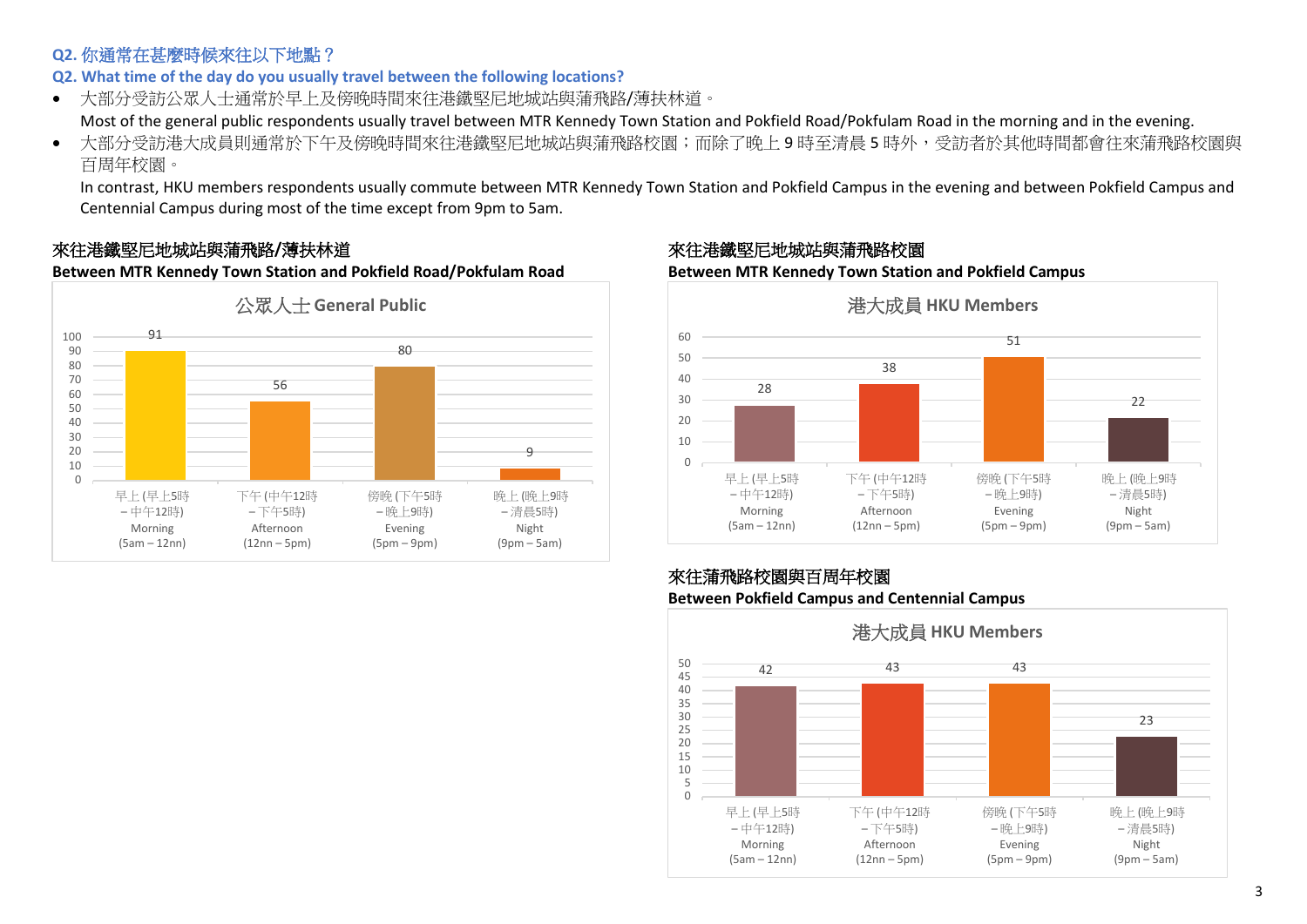# **Q2.** 你通常在甚麼時候來往以下地點?

**Q2. What time of the day do you usually travel between the following locations?** 

• 大部分受訪公眾人士通常於早上及傍晚時間來往港鐵堅尼地城站與蒲飛路/薄扶林道。

Most of the general public respondents usually travel between MTR Kennedy Town Station and Pokfield Road/Pokfulam Road in the morning and in the evening.

• 大部分受訪港大成員則通常於下午及傍晚時間來往港鐵堅尼地城站與蒲飛路校園;而除了晚上9時至清晨5時外,受訪者於其他時間都會往來蒲飛路校園與 百周年校園。

In contrast, HKU members respondents usually commute between MTR Kennedy Town Station and Pokfield Campus in the evening and between Pokfield Campus and Centennial Campus during most of the time except from 9pm to 5am.

# 來往港鐵堅尼地城站與蒲飛路**/**薄扶林道

**Between MTR Kennedy Town Station and Pokfield Road/Pokfulam Road**



#### 來往港鐵堅尼地城站與蒲飛路校園

**Between MTR Kennedy Town Station and Pokfield Campus**



#### 來往蒲飛路校園與百周年校園 **Between Pokfield Campus and Centennial Campus**

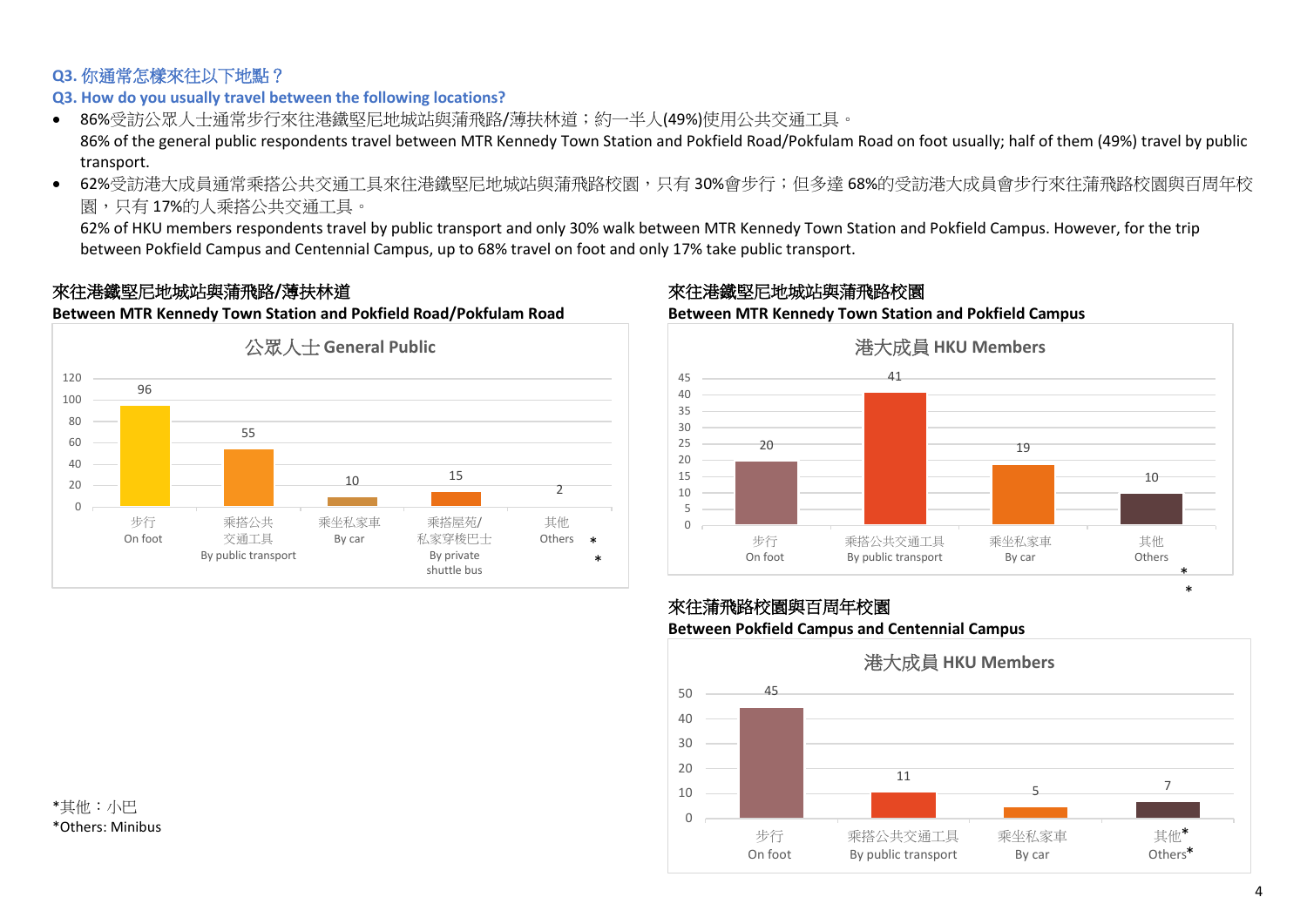#### **Q3.** 你通常怎樣來往以下地點?

#### **Q3. How do you usually travel between the following locations?**

- 86%受訪公眾人士通常步行來往港鐵堅尼地城站與蒲飛路/薄扶林道;約一半人(49%)使用公共交通工具。 86% of the general public respondents travel between MTR Kennedy Town Station and Pokfield Road/Pokfulam Road on foot usually; half of them (49%) travel by public transport.
- 62%受訪港大成員通常乘搭公共交通工具來往港鐵堅尼地城站與蒲飛路校園,只有 30%會步行; 但多達 68%的受訪港大成員會步行來往蒲飛路校園與百周年校 園,只有 17%的人乘搭公共交通工具。

62% of HKU members respondents travel by public transport and only 30% walk between MTR Kennedy Town Station and Pokfield Campus. However, for the trip between Pokfield Campus and Centennial Campus, up to 68% travel on foot and only 17% take public transport.

### 來往港鐵堅尼地城站與蒲飛路**/**薄扶林道

**Between MTR Kennedy Town Station and Pokfield Road/Pokfulam Road**



#### 來往港鐵堅尼地城站與蒲飛路校園

**Between MTR Kennedy Town Station and Pokfield Campus**



# 來往蒲飛路校園與百周年校園

#### **Between Pokfield Campus and Centennial Campus**



\*其他︰小巴 \*Others: Minibus \*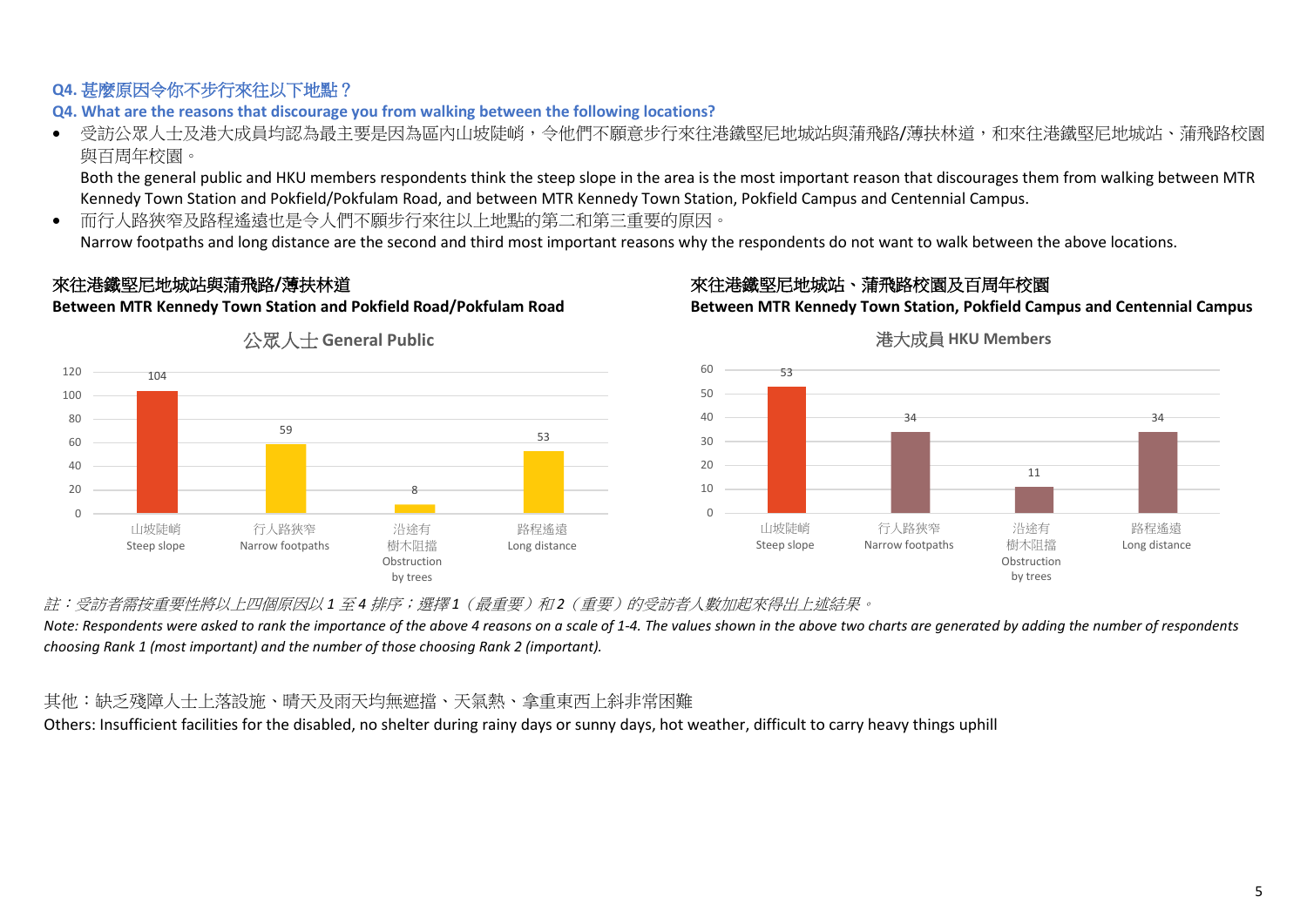# **Q4.** 甚麼原因令你不步行來往以下地點?

**Q4. What are the reasons that discourage you from walking between the following locations?**

● 受訪公眾人士及港大成員均認為最主要是因為區內山坡陡峭,令他們不願意步行來往港鐵堅尼地城站與蒲飛路/薄扶林道,和來往港鐵堅尼地城站、蒲飛路校園 與百周年校園。

Both the general public and HKU members respondents think the steep slope in the area is the most important reason that discourages them from walking between MTR Kennedy Town Station and Pokfield/Pokfulam Road, and between MTR Kennedy Town Station, Pokfield Campus and Centennial Campus.

• 而行人路狹窄及路程遙遠也是令人們不願步行來往以上地點的第二和第三重要的原因。

Narrow footpaths and long distance are the second and third most important reasons why the respondents do not want to walk between the above locations.

# 來往港鐵堅尼地城站與蒲飛路**/**薄扶林道

**Between MTR Kennedy Town Station and Pokfield Road/Pokfulam Road**

# 來往港鐵堅尼地城站、蒲飛路校園及百周年校園

**Between MTR Kennedy Town Station, Pokfield Campus and Centennial Campus**







#### 港大成員 **HKU Members**

註︰受訪者需按重要性將以上四個原因以 *1* 至 *4* 排序;選擇 *1*(最重要)和 *2*(重要)的受訪者人數加起來得出上述結果。

*Note: Respondents were asked to rank the importance of the above 4 reasons on a scale of 1-4. The values shown in the above two charts are generated by adding the number of respondents choosing Rank 1 (most important) and the number of those choosing Rank 2 (important).*

# 其他︰缺乏殘障人士上落設施、晴天及雨天均無遮擋、天氣熱、拿重東西上斜非常困難

Others: Insufficient facilities for the disabled, no shelter during rainy days or sunny days, hot weather, difficult to carry heavy things uphill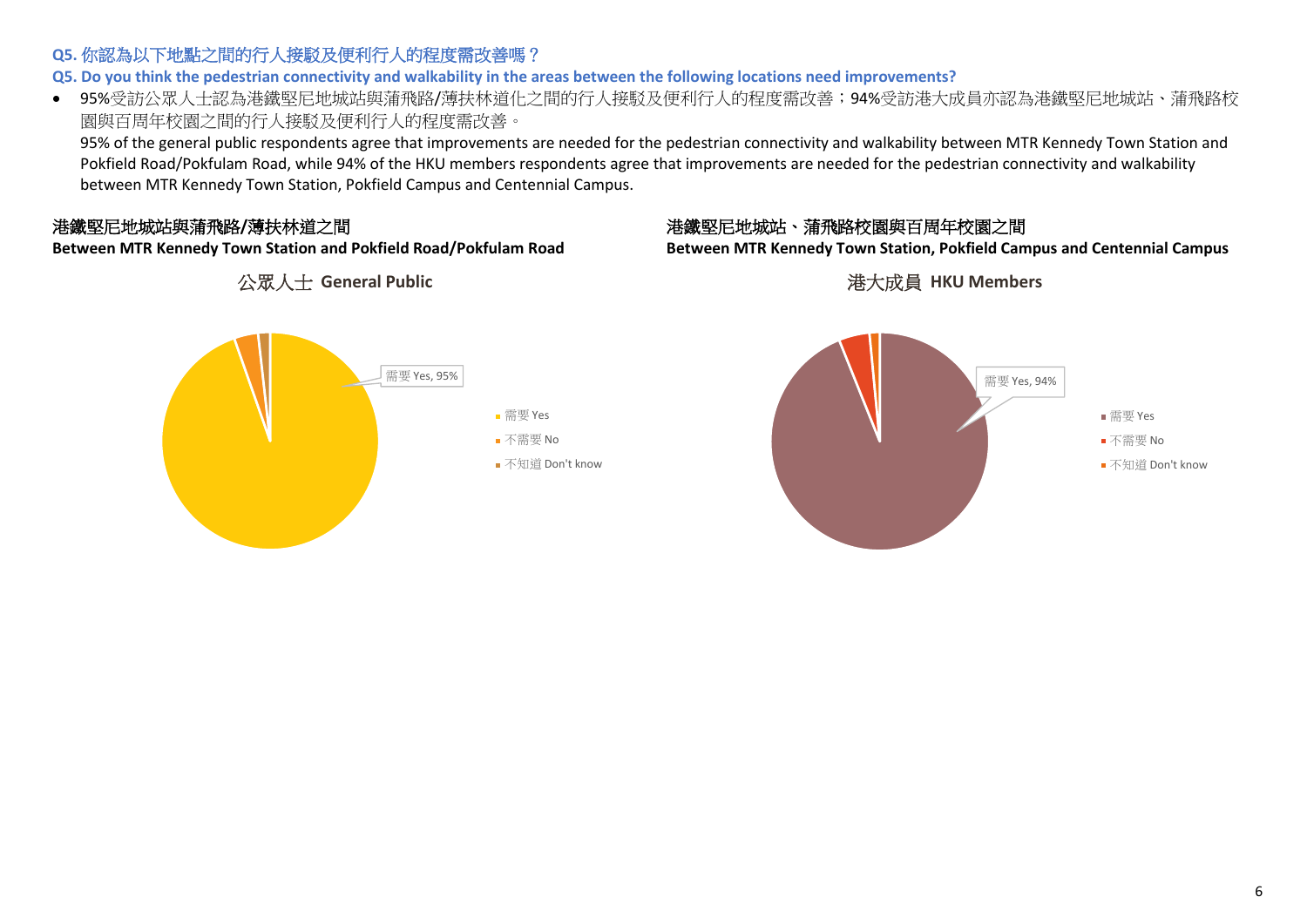# **Q5.** 你認為以下地點之間的行人接駁及便利行人的程度需改善嗎?

**Q5. Do you think the pedestrian connectivity and walkability in the areas between the following locations need improvements?** 

• 95%受訪公眾人士認為港鐵堅尼地城站與蒲飛路/薄扶林道化之間的行人接駁及便利行人的程度需改善;94%受訪港大成員亦認為港鐵堅尼地城站、蒲飛路校 園與百周年校園之間的行人接駁及便利行人的程度需改善。

95% of the general public respondents agree that improvements are needed for the pedestrian connectivity and walkability between MTR Kennedy Town Station and Pokfield Road/Pokfulam Road, while 94% of the HKU members respondents agree that improvements are needed for the pedestrian connectivity and walkability between MTR Kennedy Town Station, Pokfield Campus and Centennial Campus.

# 港鐵堅尼地城站與蒲飛路**/**薄扶林道之間

**Between MTR Kennedy Town Station and Pokfield Road/Pokfulam Road**

公眾人士 **General Public**

# 港鐵堅尼地城站、蒲飛路校園與百周年校園之間

**Between MTR Kennedy Town Station, Pokfield Campus and Centennial Campus**

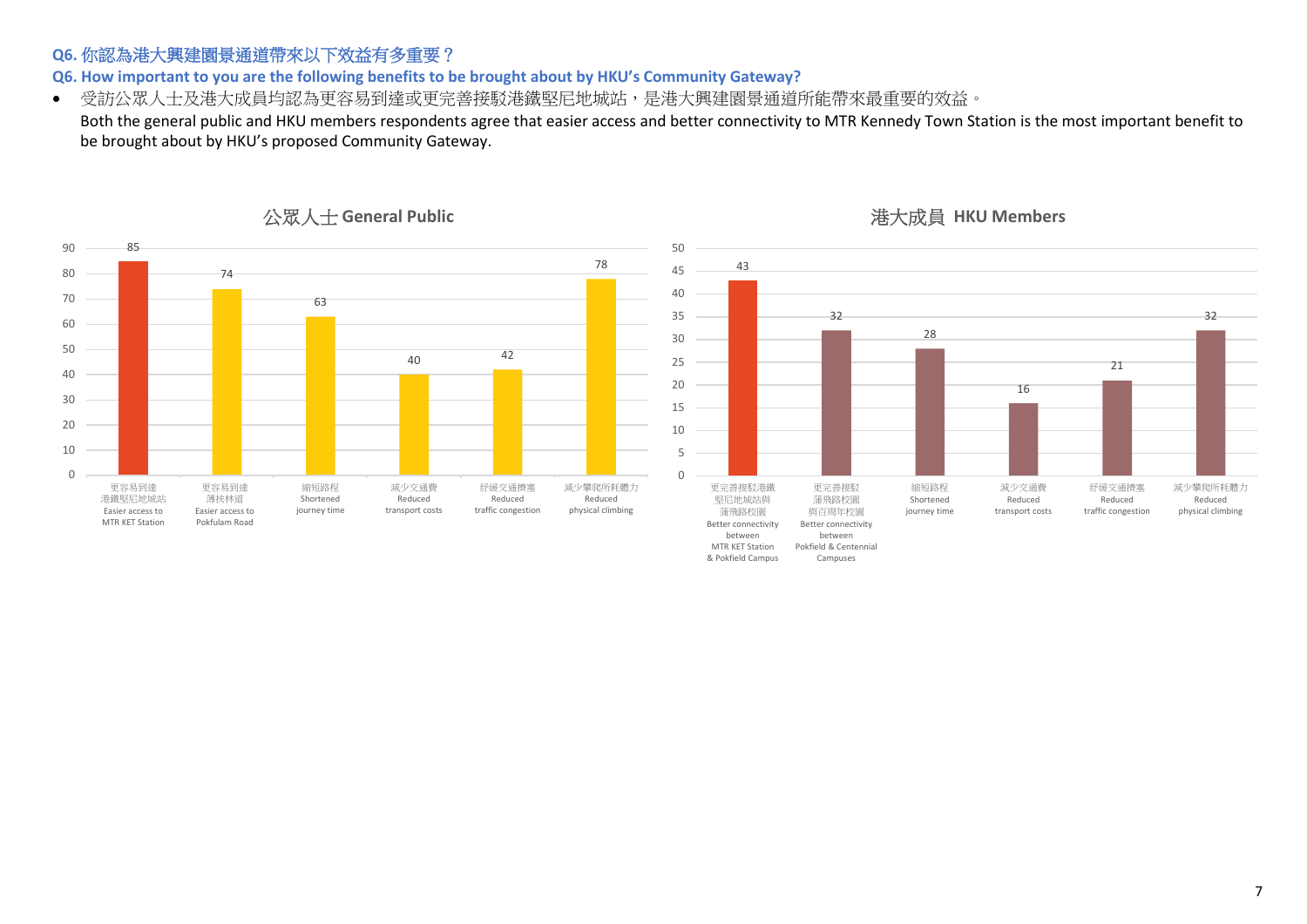# **Q6.** 你認為港大興建園景通道帶來以下效益有多重要?

**Q6. How important to you are the following benefits to be brought about by HKU's Community Gateway?** 

• 受訪公眾人士及港大成員均認為更容易到達或更完善接駁港鐵堅尼地城站,是港大興建園景通道所能帶來最重要的效益。

Both the general public and HKU members respondents agree that easier access and better connectivity to MTR Kennedy Town Station is the most important benefit to be brought about by HKU's proposed Community Gateway.



公眾人士 **General Public**

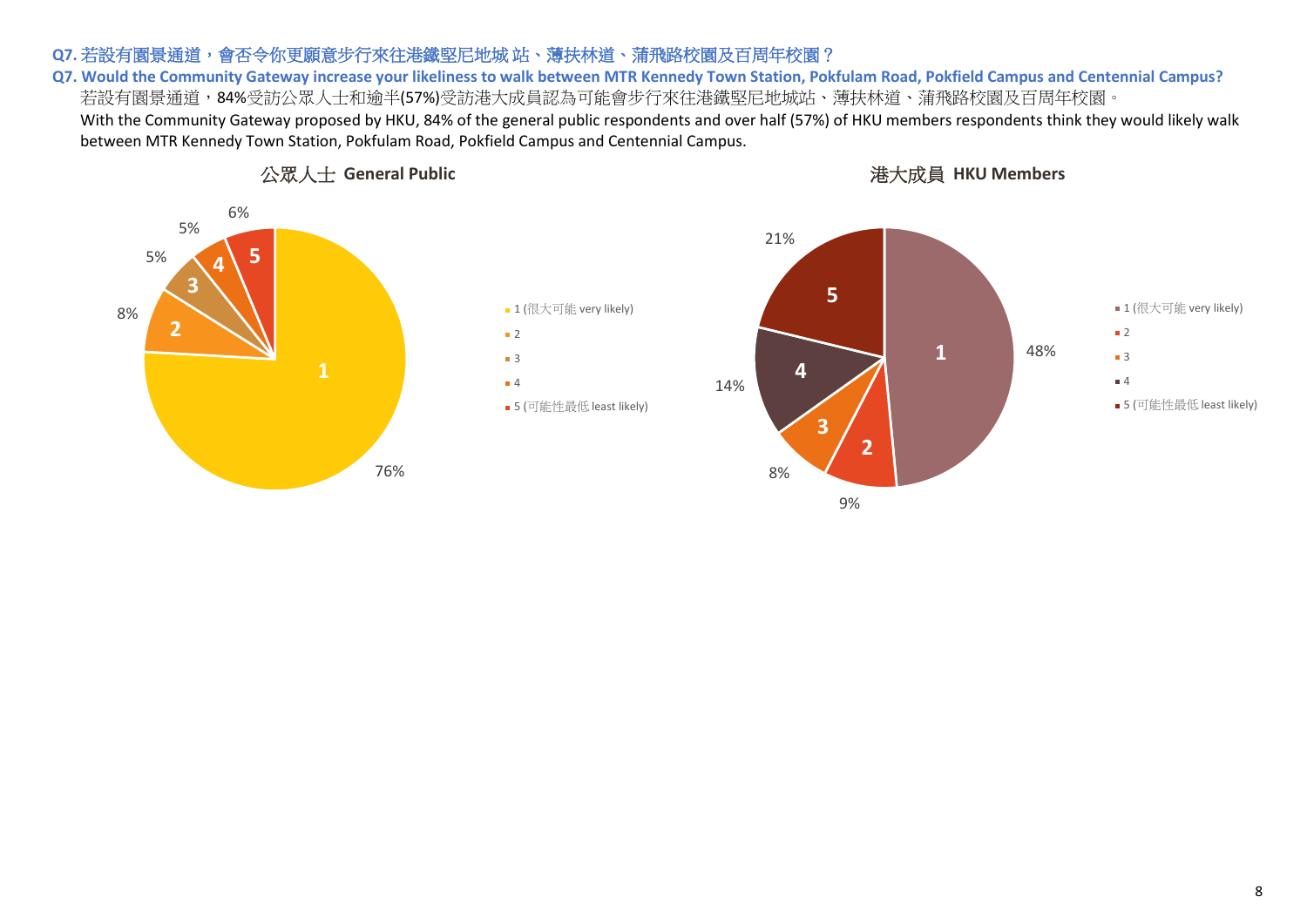### Q7. 若設有園景通道,會否令你更願意步行來往港鐵堅尼地城 站、薄扶林道、蒲飛路校園及百周年校園?

**Q7. Would the Community Gateway increase your likeliness to walk between MTR Kennedy Town Station, Pokfulam Road, Pokfield Campus and Centennial Campus?** 若設有園景通道,84%受訪公眾人士和逾半(57%)受訪港大成員認為可能會步行來往港鐵堅尼地城站、薄扶林道、蒲飛路校園及百周年校園。 With the Community Gateway proposed by HKU, 84% of the general public respondents and over half (57%) of HKU members respondents think they would likely walk between MTR Kennedy Town Station, Pokfulam Road, Pokfield Campus and Centennial Campus.

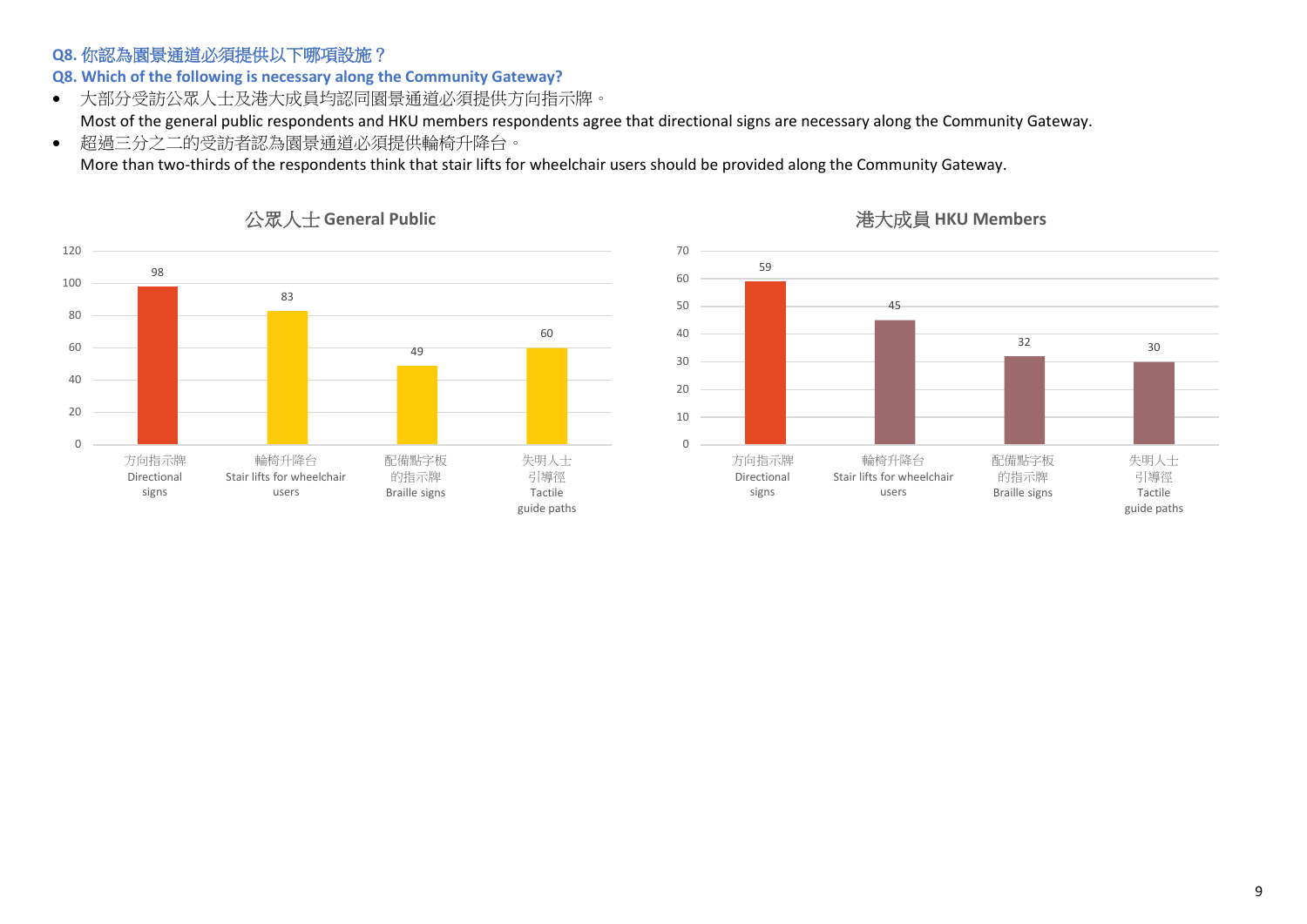# **Q8.** 你認為園景通道必須提供以下哪項設施?

**Q8. Which of the following is necessary along the Community Gateway?**

• 大部分受訪公眾人士及港大成員均認同園景通道必須提供方向指示牌。

Most of the general public respondents and HKU members respondents agree that directional signs are necessary along the Community Gateway.

• 超過三分之二的受訪者認為園景通道必須提供輪椅升降台。

More than two-thirds of the respondents think that stair lifts for wheelchair users should be provided along the Community Gateway.





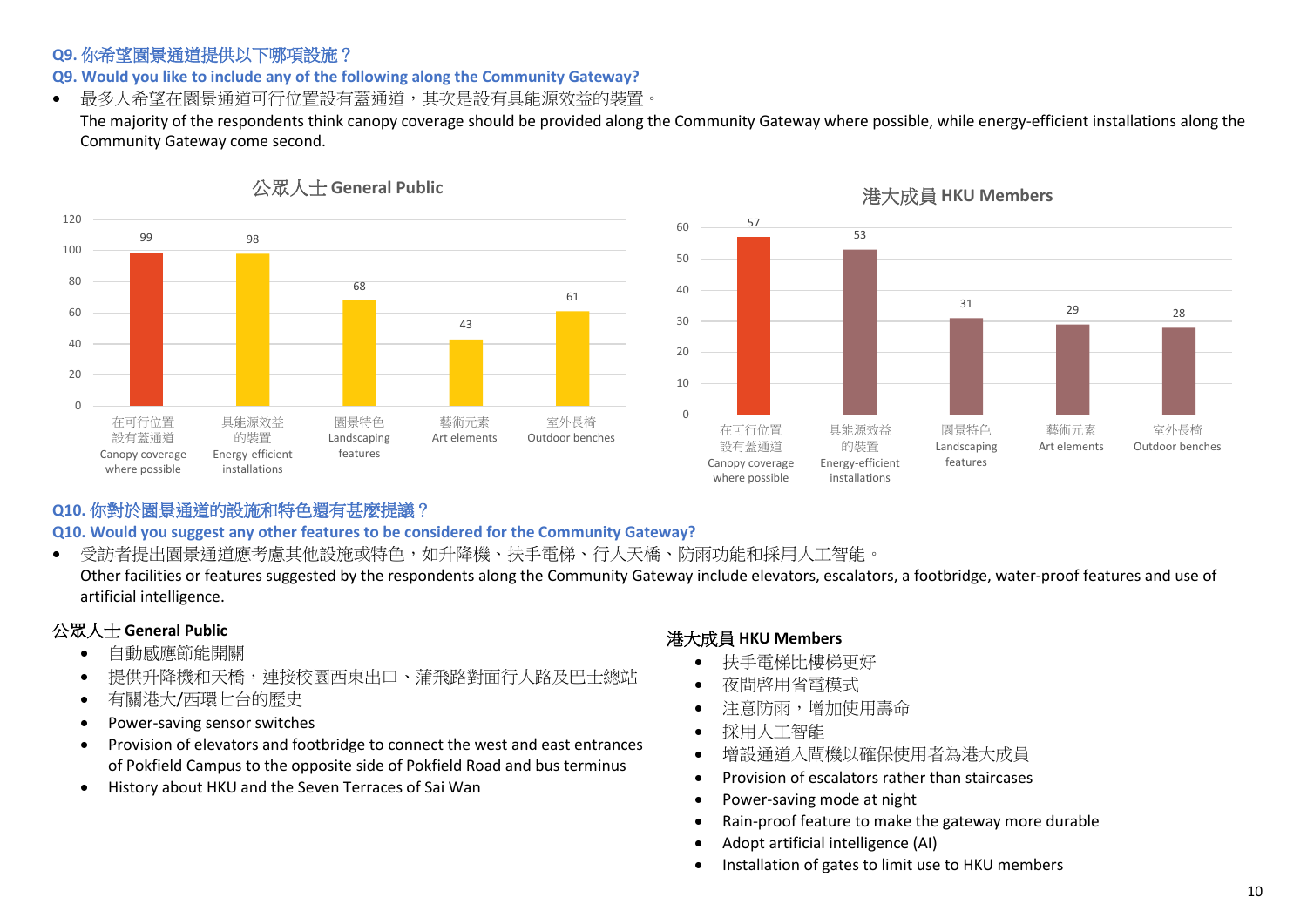### **Q9.** 你希望園景通道提供以下哪項設施?

**Q9. Would you like to include any of the following along the Community Gateway?**

• 最多人希望在園景通道可行位置設有蓋通道,其次是設有具能源效益的裝置。

The majority of the respondents think canopy coverage should be provided along the Community Gateway where possible, while energy-efficient installations along the Community Gateway come second.



#### 港大成員 **HKU Members**



# **Q10.** 你對於園景通道的設施和特色還有甚麼提議?

**Q10. Would you suggest any other features to be considered for the Community Gateway?** 

• 受訪者提出園景通道應考慮其他設施或特色,如升降機、扶手電梯、行人天橋、防雨功能和採用人工智能。 Other facilities or features suggested by the respondents along the Community Gateway include elevators, escalators, a footbridge, water-proof features and use of artificial intelligence.

# 公眾人士 **General Public**

- 自動感應節能開關
- 提供升降機和天橋,連接校園西東出口、蒲飛路對面行人路及巴士總站
- 有關港大/西環七台的歷史
- Power-saving sensor switches
- Provision of elevators and footbridge to connect the west and east entrances of Pokfield Campus to the opposite side of Pokfield Road and bus terminus
- History about HKU and the Seven Terraces of Sai Wan

- 扶手電梯比樓梯更好
- 夜間啓用省電模式
- 注意防雨,增加使用壽命
- 採用人工智能
- 增設通道入閘機以確保使用者為港大成員
- Provision of escalators rather than staircases
- Power-saving mode at night
- Rain-proof feature to make the gateway more durable
- Adopt artificial intelligence (AI)
- Installation of gates to limit use to HKU members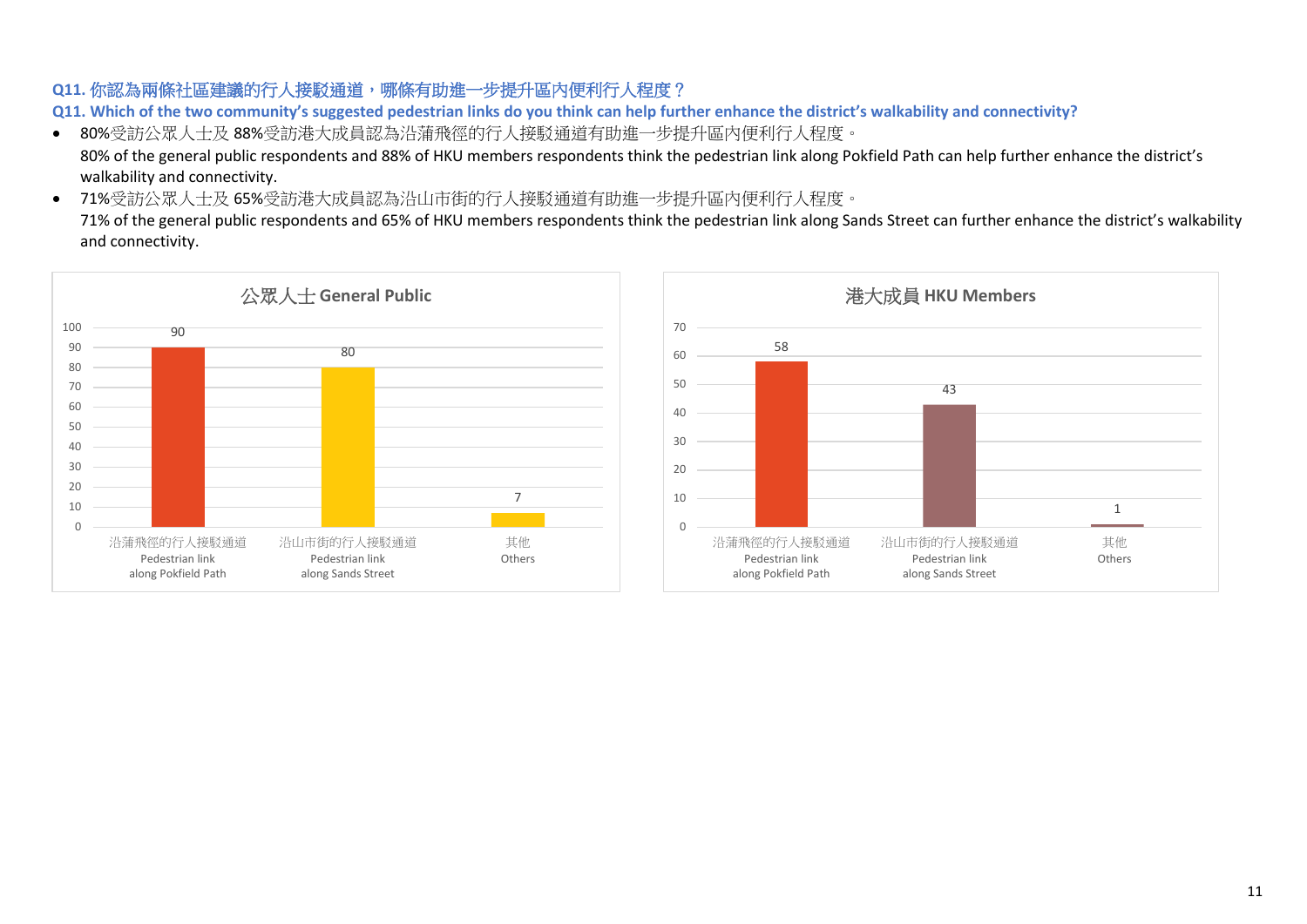# **Q11.** 你認為兩條社區建議的行人接駁通道,哪條有助進一步提升區內便利行人程度?

**Q11. Which of the two community's suggested pedestrian links do you think can help further enhance the district's walkability and connectivity?**

• 80%受訪公眾人士及 88%受訪港大成員認為沿蒲飛徑的行人接駁通道有助進一步提升區內便利行人程度。

80% of the general public respondents and 88% of HKU members respondents think the pedestrian link along Pokfield Path can help further enhance the district's walkability and connectivity.

• 71%受訪公眾人士及 65%受訪港大成員認為沿山市街的行人接駁通道有助進一步提升區內便利行人程度。

71% of the general public respondents and 65% of HKU members respondents think the pedestrian link along Sands Street can further enhance the district's walkability and connectivity.



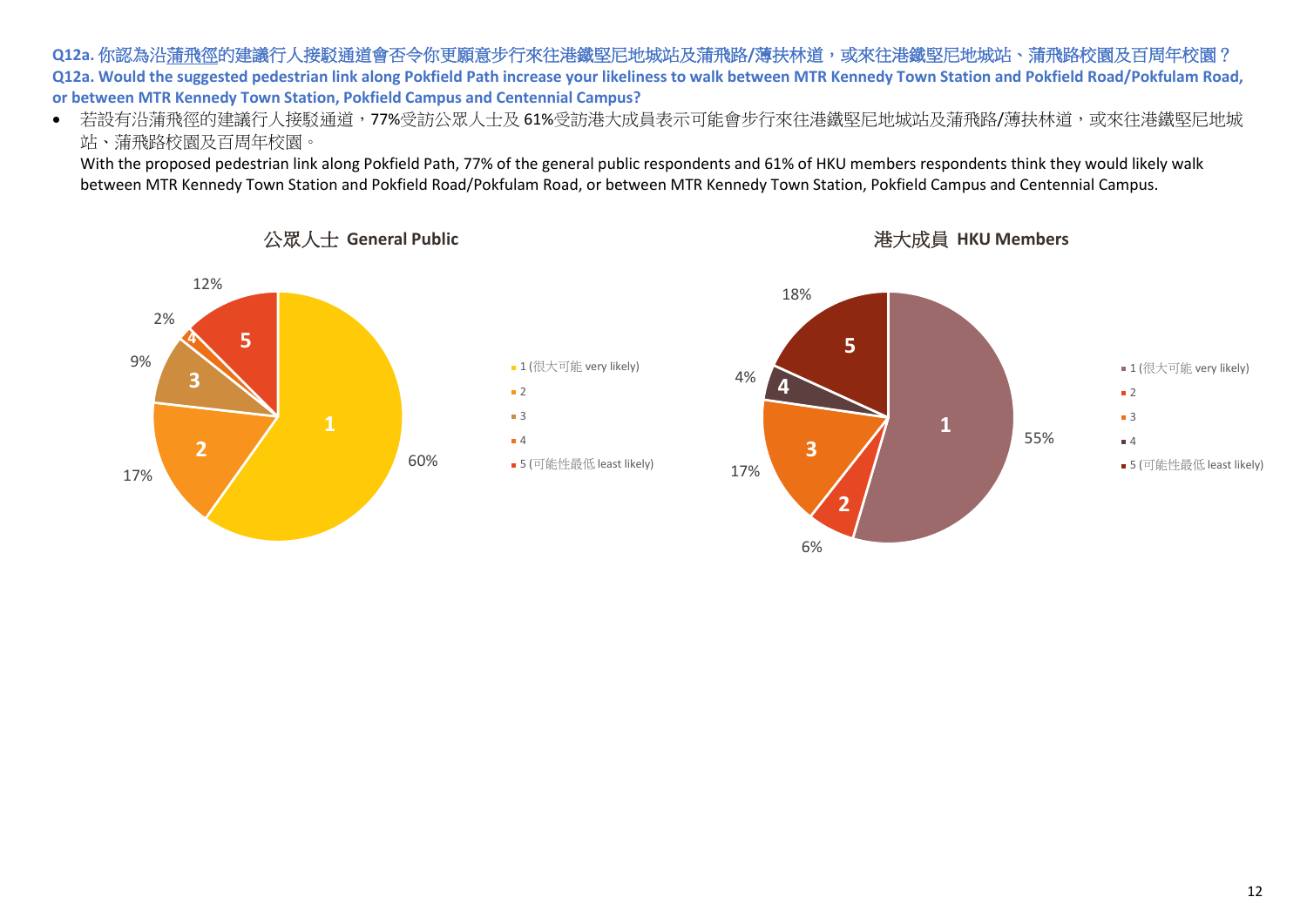#### Q12a. 你認為沿蒲飛徑的建議行人接駁通道會否令你更願意步行來往港鐵堅尼地城站及蒲飛路/薄扶林道,或來往港鐵堅尼地城站、蒲飛路校園及百周年校園? **Q12a. Would the suggested pedestrian link along Pokfield Path increase your likeliness to walk between MTR Kennedy Town Station and Pokfield Road/Pokfulam Road, or between MTR Kennedy Town Station, Pokfield Campus and Centennial Campus?**

• 若設有沿蒲飛徑的建議行人接駁通道,77%受訪公眾人士及 61%受訪港大成員表示可能會步行來往港鐵堅尼地城站及蒲飛路/薄扶林道,或來往港鐵堅尼地城 站、蒲飛路校園及百周年校園。

With the proposed pedestrian link along Pokfield Path, 77% of the general public respondents and 61% of HKU members respondents think they would likely walk between MTR Kennedy Town Station and Pokfield Road/Pokfulam Road, or between MTR Kennedy Town Station, Pokfield Campus and Centennial Campus.

> $\blacksquare$  2 ■ 3 4